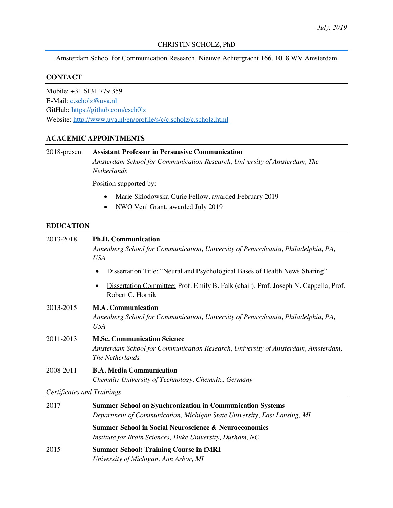Amsterdam School for Communication Research, Nieuwe Achtergracht 166, 1018 WV Amsterdam

#### **CONTACT**

Mobile: +31 6131 779 359 E-Mail: c.scholz@uva.nl GitHub: https://github.com/csch0lz Website: http://www.uva.nl/en/profile/s/c/c.scholz/c.scholz.html

### **ACACEMIC APPOINTMENTS**

| 2018-present                      | <b>Assistant Professor in Persuasive Communication</b><br>Amsterdam School for Communication Research, University of Amsterdam, The<br><b>Netherlands</b><br>Position supported by: |  |  |  |
|-----------------------------------|-------------------------------------------------------------------------------------------------------------------------------------------------------------------------------------|--|--|--|
|                                   |                                                                                                                                                                                     |  |  |  |
|                                   | Marie Sklodowska-Curie Fellow, awarded February 2019<br>NWO Veni Grant, awarded July 2019<br>$\bullet$                                                                              |  |  |  |
| <b>EDUCATION</b>                  |                                                                                                                                                                                     |  |  |  |
| 2013-2018                         | <b>Ph.D. Communication</b><br>Annenberg School for Communication, University of Pennsylvania, Philadelphia, PA,<br><b>USA</b>                                                       |  |  |  |
|                                   | Dissertation Title: "Neural and Psychological Bases of Health News Sharing"                                                                                                         |  |  |  |
|                                   | Dissertation Committee: Prof. Emily B. Falk (chair), Prof. Joseph N. Cappella, Prof.<br>$\bullet$<br>Robert C. Hornik                                                               |  |  |  |
| 2013-2015                         | <b>M.A. Communication</b><br>Annenberg School for Communication, University of Pennsylvania, Philadelphia, PA,<br><b>USA</b>                                                        |  |  |  |
| 2011-2013                         | <b>M.Sc. Communication Science</b><br>Amsterdam School for Communication Research, University of Amsterdam, Amsterdam,<br>The Netherlands                                           |  |  |  |
| 2008-2011                         | <b>B.A. Media Communication</b><br>Chemnitz University of Technology, Chemnitz, Germany                                                                                             |  |  |  |
| <b>Certificates and Trainings</b> |                                                                                                                                                                                     |  |  |  |
| 2017                              | <b>Summer School on Synchronization in Communication Systems</b><br>Department of Communication, Michigan State University, East Lansing, MI                                        |  |  |  |
|                                   | <b>Summer School in Social Neuroscience &amp; Neuroeconomics</b><br>Institute for Brain Sciences, Duke University, Durham, NC                                                       |  |  |  |
| 2015                              | <b>Summer School: Training Course in fMRI</b>                                                                                                                                       |  |  |  |

*University of Michigan, Ann Arbor, MI*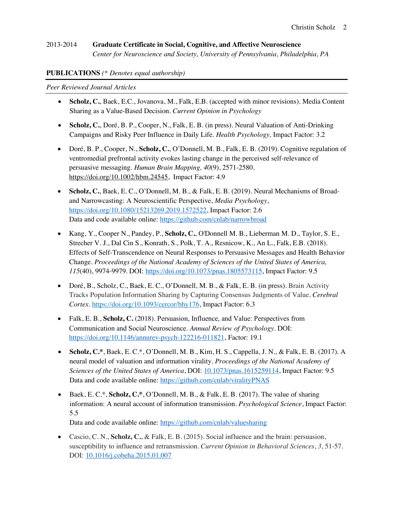#### 2013-2014 **Graduate Certificate in Social, Cognitive, and Affective Neuroscience** *Center for Neuroscience and Society, University of Pennsylvania, Philadelphia, PA*

#### **PUBLICATIONS** *(\* Denotes equal authorship)*

*Peer Reviewed Journal Articles*

- **Scholz, C.**, Baek, E.C., Jovanova, M., Falk, E.B. (accepted with minor revisions). Media Content Sharing as a Value-Based Decision. *Current Opinion in Psychology*
- **Scholz, C.**, Doré, B. P., Cooper, N., Falk, E. B. (in press). Neural Valuation of Anti-Drinking Campaigns and Risky Peer Influence in Daily Life. *Health Psychology,* Impact Factor: 3.2
- Doré, B. P., Cooper, N., **Scholz, C.**, O'Donnell, M. B., Falk, E. B. (2019). Cognitive regulation of ventromedial prefrontal activity evokes lasting change in the perceived self-relevance of persuasive messaging. *Human Brain Mapping, 40*(9), 2571-2580. https://doi.org/10.1002/hbm.24545, Impact Factor: 4.9
- **Scholz, C.**, Baek, E. C., O'Donnell, M. B., & Falk, E. B. (2019). Neural Mechanisms of Broadand Narrowcasting: A Neuroscientific Perspective, *Media Psychology*, https://doi.org/10.1080/15213269.2019.1572522, Impact Factor: 2.6 Data and code available online: https://github.com/cnlab/narrowbroad
- Kang, Y., Cooper N., Pandey, P., **Scholz, C.**, O'Donnell M. B., Lieberman M. D., Taylor, S. E., Strecher V. J., Dal Cin S., Konrath, S., Polk, T. A., Resnicow, K., An L., Falk, E.B. (2018). Effects of Self-Transcendence on Neural Responses to Persuasive Messages and Health Behavior Change. *Proceedings of the National Academy of Sciences of the United States of America, 115*(40), 9974-9979. DOI: https://doi.org/10.1073/pnas.1805573115, Impact Factor: 9.5
- Doré, B., Scholz, C., Baek, E. C., O'Donnell, M. B., & Falk, E. B. (in press). Brain Activity Tracks Population Information Sharing by Capturing Consensus Judgments of Value. *Cerebral Cortex.* https://doi.org/10.1093/cercor/bhy176, Impact Factor: 6.3
- Falk, E. B., **Scholz, C.** (2018). Persuasion, Influence, and Value: Perspectives from Communication and Social Neuroscience. *Annual Review of Psychology.* DOI: https://doi.org/10.1146/annurev-psych-122216-011821, Factor: 19.1
- **Scholz, C.\***, Baek, E. C.\*, O'Donnell, M. B., Kim, H. S., Cappella, J. N., & Falk, E. B. (2017). A neural model of valuation and information virality. *Proceedings of the National Academy of Sciences of the United States of America*, DOI: 10.1073/pnas.1615259114, Impact Factor: 9.5 Data and code available online: https://github.com/cnlab/viralityPNAS
- Baek, E. C.\*, **Scholz, C.\***, O'Donnell, M. B., & Falk, E. B. (2017). The value of sharing information: A neural account of information transmission. *Psychological Science*, Impact Factor: 5.5

Data and code available online: https://github.com/cnlab/valuesharing

• Cascio, C. N., **Scholz, C.**, & Falk, E. B. (2015). Social influence and the brain: persuasion, susceptibility to influence and retransmission. *Current Opinion in Behavioral Sciences*, *3*, 51-57. DOI: 10.1016/j.cobeha.2015.01.007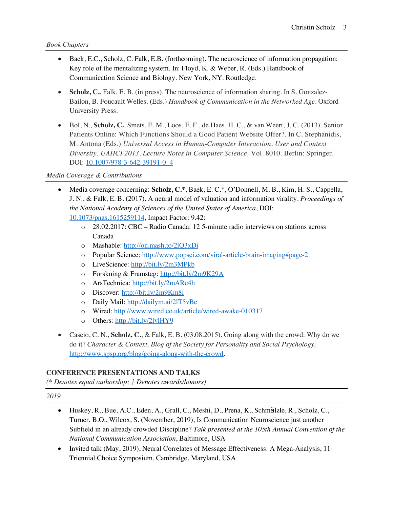### *Book Chapters*

- Baek, E.C., Scholz, C. Falk, E.B. (forthcoming). The neuroscience of information propagation: Key role of the mentalizing system. In: Floyd, K. & Weber, R. (Eds.) Handbook of Communication Science and Biology. New York, NY: Routledge.
- **Scholz, C.**, Falk, E. B. (in press). The neuroscience of information sharing. In S. Gonzalez-Bailon, B. Foucault Welles. (Eds.) *Handbook of Communication in the Networked Age*. Oxford University Press.
- Bol, N., **Scholz, C.**, Smets, E. M., Loos, E. F., de Haes, H. C., & van Weert, J. C. (2013). Senior Patients Online: Which Functions Should a Good Patient Website Offer?. In C. Stephanidis, M. Antona (Eds.) *Universal Access in Human-Computer Interaction. User and Context Diversity*. *UAHCI 2013. Lecture Notes in Computer Science,* Vol. 8010. Berlin: Springer. DOI: 10.1007/978-3-642-39191-0\_4

## *Media Coverage & Contributions*

- Media coverage concerning: **Scholz, C.\***, Baek, E. C.\*, O'Donnell, M. B., Kim, H. S., Cappella, J. N., & Falk, E. B. (2017). A neural model of valuation and information virality. *Proceedings of the National Academy of Sciences of the United States of America*, DOI: 10.1073/pnas.1615259114, Impact Factor: 9.42:
	- o 28.02.2017: CBC Radio Canada: 12 5-minute radio interviews on stations across Canada
	- o Mashable: http://on.mash.to/2lQ3xDi
	- o Popular Science: http://www.popsci.com/viral-article-brain-imaging#page-2
	- o LiveScience: http://bit.ly/2m3MPkb
	- o Forskning & Framsteg: http://bit.ly/2m9K29A
	- o ArsTechnica: http://bit.ly/2mARc4h
	- o Discover: http://bit.ly/2m9Km8i
	- o Daily Mail: http://dailym.ai/2lT5vBe
	- o Wired: http://www.wired.co.uk/article/wired-awake-010317
	- o Others: http://bit.ly/2lvlHY9
- Cascio, C. N., **Scholz, C.**, & Falk, E. B. (03.08.2015). Going along with the crowd: Why do we do it? *Character & Context, Blog of the Society for Personality and Social Psychology,*  http://www.spsp.org/blog/going-along-with-the-crowd.

### **CONFERENCE PRESENTATIONS AND TALKS**

*(\* Denotes equal authorship; † Denotes awards/honors)*

### *2019*

- Huskey, R., Bue, A.C., Eden, A., Grall, C., Meshi, D., Prena, K., Schmälzle, R., Scholz, C., Turner, B.O., Wilcox, S. (November, 2019), Is Communication Neuroscience just another Subfield in an already crowded Discipline? *Talk presented at the 105th Annual Convention of the National Communication Association*, Baltimore, USA
- Invited talk (May, 2019), Neural Correlates of Message Effectiveness: A Mega-Analysis,  $11^{\circ}$ Triennial Choice Symposium, Cambridge, Maryland, USA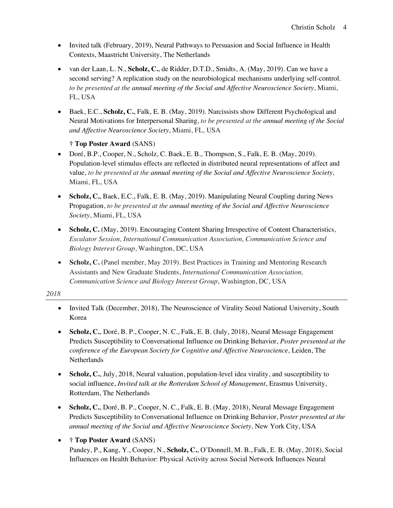- Invited talk (February, 2019), Neural Pathways to Persuasion and Social Influence in Health Contexts, Maastricht University, The Netherlands
- van der Laan, L. N., **Scholz, C.**, de Ridder, D.T.D., Smidts, A. (May, 2019). Can we have a second serving? A replication study on the neurobiological mechanisms underlying self-control. *to be presented at the annual meeting of the Social and Affective Neuroscience Society*, Miami, FL, USA
- Baek, E.C., **Scholz, C.**, Falk, E. B. (May, 2019). Narcissists show Different Psychological and Neural Motivations for Interpersonal Sharing, *to be presented at the annual meeting of the Social and Affective Neuroscience Society*, Miami, FL, USA

### **† Top Poster Award** (SANS)

- Doré,  $B.P., Cooper, N., Scholz, C. Baek, E. B., Thompson, S., Falk, E. B. (May, 2019).$ Population-level stimulus effects are reflected in distributed neural representations of affect and value, *to be presented at the annual meeting of the Social and Affective Neuroscience Society*, Miami, FL, USA
- **Scholz, C.**, Baek, E.C., Falk, E. B. (May, 2019). Manipulating Neural Coupling during News Propagation, *to be presented at the annual meeting of the Social and Affective Neuroscience Society*, Miami, FL, USA
- **Scholz, C.** (May, 2019). Encouraging Content Sharing Irrespective of Content Characteristics, *Escalator Session, International Communication Association, Communication Science and Biology Interest Group*, Washington, DC, USA
- **Scholz, C.** (Panel member, May 2019). Best Practices in Training and Mentoring Research Assistants and New Graduate Students, *International Communication Association, Communication Science and Biology Interest Group*, Washington, DC, USA

#### *2018*

- Invited Talk (December, 2018), The Neuroscience of Virality Seoul National University, South Korea
- **Scholz, C.**, Doré, B. P., Cooper, N. C., Falk, E. B. (July, 2018), Neural Message Engagement Predicts Susceptibility to Conversational Influence on Drinking Behavior, *Poster presented at the conference of the European Society for Cognitive and Affective Neuroscience,* Leiden, The Netherlands
- **Scholz, C.**, July, 2018, Neural valuation, population-level idea virality, and susceptibility to social influence, *Invited talk at the Rotterdam School of Management*, Erasmus University, Rotterdam, The Netherlands
- **Scholz, C.**, Doré, B. P., Cooper, N. C., Falk, E. B. (May, 2018), Neural Message Engagement Predicts Susceptibility to Conversational Influence on Drinking Behavior, P*oster presented at the annual meeting of the Social and Affective Neuroscience Society,* New York City, USA

### • **† Top Poster Award** (SANS)

Pandey, P., Kang, Y., Cooper, N., **Scholz, C.**, O'Donnell, M. B., Falk, E. B. (May, 2018), Social Influences on Health Behavior: Physical Activity across Social Network Influences Neural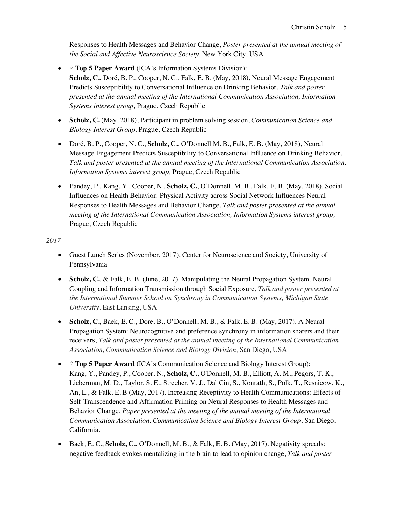Responses to Health Messages and Behavior Change, *Poster presented at the annual meeting of the Social and Affective Neuroscience Society,* New York City, USA

- **† Top 5 Paper Award** (ICA's Information Systems Division): **Scholz, C.**, Doré, B. P., Cooper, N. C., Falk, E. B. (May, 2018), Neural Message Engagement Predicts Susceptibility to Conversational Influence on Drinking Behavior, *Talk and poster presented at the annual meeting of the International Communication Association, Information Systems interest group,* Prague, Czech Republic
- **Scholz, C.** (May, 2018), Participant in problem solving session, *Communication Science and Biology Interest Group,* Prague, Czech Republic
- Doré, B. P., Cooper, N. C., **Scholz, C.**, O'Donnell M. B., Falk, E. B. (May, 2018), Neural Message Engagement Predicts Susceptibility to Conversational Influence on Drinking Behavior, *Talk and poster presented at the annual meeting of the International Communication Association, Information Systems interest group,* Prague, Czech Republic
- Pandey, P., Kang, Y., Cooper, N., **Scholz, C.**, O'Donnell, M. B., Falk, E. B. (May, 2018), Social Influences on Health Behavior: Physical Activity across Social Network Influences Neural Responses to Health Messages and Behavior Change, *Talk and poster presented at the annual meeting of the International Communication Association, Information Systems interest group,*  Prague, Czech Republic

#### *2017*

- Guest Lunch Series (November, 2017), Center for Neuroscience and Society, University of Pennsylvania
- **Scholz, C.**, & Falk, E. B. (June, 2017). Manipulating the Neural Propagation System. Neural Coupling and Information Transmission through Social Exposure, *Talk and poster presented at the International Summer School on Synchrony in Communication Systems, Michigan State University*, East Lansing, USA
- **Scholz, C.**, Baek, E. C., Dore, B., O'Donnell, M. B., & Falk, E. B. (May, 2017). A Neural Propagation System: Neurocognitive and preference synchrony in information sharers and their receivers, *Talk and poster presented at the annual meeting of the International Communication Association, Communication Science and Biology Division*, San Diego, USA
- $\uparrow$  **Top 5 Paper Award** (ICA's Communication Science and Biology Interest Group): Kang, Y., Pandey, P., Cooper, N., **Scholz, C.**, O'Donnell, M. B., Elliott, A. M., Pegors, T. K., Lieberman, M. D., Taylor, S. E., Strecher, V. J., Dal Cin, S., Konrath, S., Polk, T., Resnicow, K., An, L., & Falk, E. B (May, 2017). Increasing Receptivity to Health Communications: Effects of Self-Transcendence and Affirmation Priming on Neural Responses to Health Messages and Behavior Change, *Paper presented at the meeting of the annual meeting of the International Communication Association, Communication Science and Biology Interest Group*, San Diego, California.
- Baek, E. C., **Scholz, C.**, O'Donnell, M. B., & Falk, E. B. (May, 2017). Negativity spreads: negative feedback evokes mentalizing in the brain to lead to opinion change, *Talk and poster*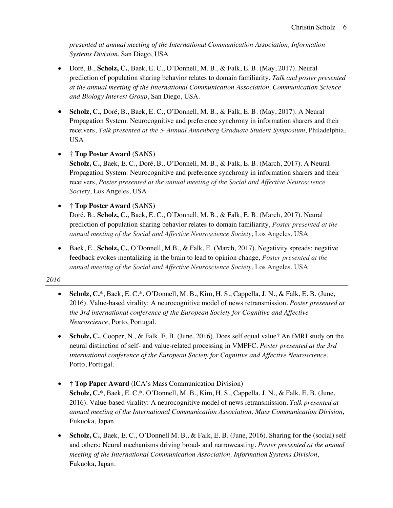*presented at annual meeting of the International Communication Association, Information Systems Division*, San Diego, USA

- Doré, B., **Scholz, C.**, Baek, E. C., O'Donnell, M. B., & Falk, E. B. (May, 2017). Neural prediction of population sharing behavior relates to domain familiarity, *Talk and poster presented at the annual meeting of the International Communication Association, Communication Science and Biology Interest Group*, San Diego, USA.
- **Scholz, C.**, Doré, B., Baek, E. C., O'Donnell, M. B., & Falk, E. B. (May, 2017). A Neural Propagation System: Neurocognitive and preference synchrony in information sharers and their receivers, Talk presented at the 5<sup>*k*</sup> Annual Annenberg Graduate Student Symposium, Philadelphia, USA
- **† Top Poster Award** (SANS) **Scholz, C.**, Baek, E. C., Doré, B., O'Donnell, M. B., & Falk, E. B. (March, 2017). A Neural Propagation System: Neurocognitive and preference synchrony in information sharers and their receivers, *Poster presented at the annual meeting of the Social and Affective Neuroscience Society*, Los Angeles, USA
- **† Top Poster Award** (SANS) Doré, B., **Scholz, C.**, Baek, E. C., O'Donnell, M. B., & Falk, E. B. (March, 2017). Neural prediction of population sharing behavior relates to domain familiarity, *Poster presented at the annual meeting of the Social and Affective Neuroscience Society*, Los Angeles, USA
- Baek, E., **Scholz, C.**, O'Donnell, M.B., & Falk, E. (March, 2017). Negativity spreads: negative feedback evokes mentalizing in the brain to lead to opinion change, *Poster presented at the annual meeting of the Social and Affective Neuroscience Society*, Los Angeles, USA

*2016*

- **Scholz, C.\***, Baek, E. C.\*, O'Donnell, M. B., Kim, H. S., Cappella, J. N., & Falk, E. B. (June, 2016). Value-based virality: A neurocognitive model of news retransmission. *Poster presented at the 3rd international conference of the European Society for Cognitive and Affective Neuroscience*, Porto, Portugal.
- **Scholz, C.**, Cooper, N., & Falk, E. B. (June, 2016). Does self equal value? An fMRI study on the neural distinction of self- and value-related processing in VMPFC. *Poster presented at the 3rd international conference of the European Society for Cognitive and Affective Neuroscience*, Porto, Portugal.
- **† Top Paper Award** (ICA's Mass Communication Division) **Scholz, C.\***, Baek, E. C.\*, O'Donnell, M. B., Kim, H. S., Cappella, J. N., & Falk, E. B. (June, 2016). Value-based virality: A neurocognitive model of news retransmission. *Talk presented at annual meeting of the International Communication Association, Mass Communication Division*, Fukuoka, Japan.
- **Scholz, C.**, Baek, E. C., O'Donnell M. B., & Falk, E. B. (June, 2016). Sharing for the (social) self and others: Neural mechanisms driving broad- and narrowcasting. *Poster presented at the annual meeting of the International Communication Association, Information Systems Division*, Fukuoka, Japan.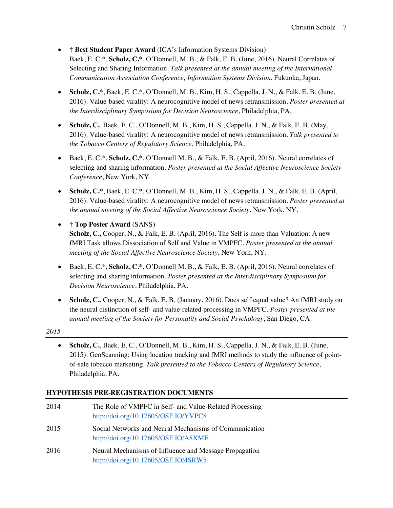• **† Best Student Paper Award** (ICA's Information Systems Division) Baek, E. C.\*, **Scholz, C.\***, O'Donnell, M. B., & Falk, E. B. (June, 2016). Neural Correlates of Selecting and Sharing Information. *Talk presented at the annual meeting of the International Communication Association Conference, Information Systems Division*, Fukuoka, Japan.

- **Scholz, C.\***, Baek, E. C.\*, O'Donnell, M. B., Kim, H. S., Cappella, J. N., & Falk, E. B. (June, 2016). Value-based virality: A neurocognitive model of news retransmission. *Poster presented at the Interdisciplinary Symposium for Decision Neuroscience*, Philadelphia, PA.
- **Scholz, C.**, Baek, E. C., O'Donnell, M. B., Kim, H. S., Cappella, J. N., & Falk, E. B. (May, 2016). Value-based virality: A neurocognitive model of news retransmission. *Talk presented to the Tobacco Centers of Regulatory Science*, Philadelphia, PA.
- Baek, E. C.\*, **Scholz, C.\***, O'Donnell M. B., & Falk, E. B. (April, 2016). Neural correlates of selecting and sharing information. *Poster presented at the Social Affective Neuroscience Society Conference*, New York, NY.
- **Scholz, C.\***, Baek, E. C.\*, O'Donnell, M. B., Kim, H. S., Cappella, J. N., & Falk, E. B. (April, 2016). Value-based virality: A neurocognitive model of news retransmission. *Poster presented at the annual meeting of the Social Affective Neuroscience Society*, New York, NY.
- **† Top Poster Award** (SANS) **Scholz, C.**, Cooper, N., & Falk, E. B. (April, 2016). The Self is more than Valuation: A new fMRI Task allows Dissociation of Self and Value in VMPFC*. Poster presented at the annual meeting of the Social Affective Neuroscience Society*, New York, NY.
- Baek, E. C.\*, **Scholz, C.\***, O'Donnell M. B., & Falk, E. B. (April, 2016). Neural correlates of selecting and sharing information. *Poster presented at the Interdisciplinary Symposium for Decision Neuroscience*, Philadelphia, PA.
- **Scholz, C.**, Cooper, N., & Falk, E. B. (January, 2016). Does self equal value? An fMRI study on the neural distinction of self- and value-related processing in VMPFC*. Poster presented at the annual meeting of the Society for Personality and Social Psychology*, San Diego, CA.

*2015*

• **Scholz, C.**, Baek, E. C., O'Donnell, M. B., Kim, H. S., Cappella, J. N., & Falk, E. B. (June, 2015). GeoScanning: Using location tracking and fMRI methods to study the influence of pointof-sale tobacco marketing. *Talk presented to the Tobacco Centers of Regulatory Science*, Philadelphia, PA.

# **HYPOTHESIS PRE-REGISTRATION DOCUMENTS**

| 2014 | The Role of VMPFC in Self- and Value-Related Processing<br>http://doi.org/10.17605/OSF.IO/YVPC8 |
|------|-------------------------------------------------------------------------------------------------|
| 2015 | Social Networks and Neural Mechanisms of Communication<br>http://doi.org/10.17605/OSF.IO/A8XME  |
| 2016 | Neural Mechanisms of Influence and Message Propagation<br>http://doi.org/10.17605/OSF.IO/4SRW5  |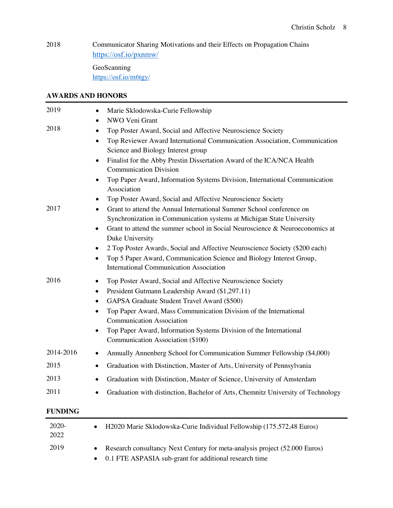$\overline{\phantom{0}}$ 

2018 Communicator Sharing Motivations and their Effects on Propagation Chains https://osf.io/pxnmw/

> GeoScanning https://osf.io/m6tgy/

### **AWARDS AND HONORS**

| 2019           | Marie Sklodowska-Curie Fellowship                                                                                                                                                                                                                                                                                                                                                                                                                                                                                                                                                                                                                                                                                                                         |  |  |  |  |
|----------------|-----------------------------------------------------------------------------------------------------------------------------------------------------------------------------------------------------------------------------------------------------------------------------------------------------------------------------------------------------------------------------------------------------------------------------------------------------------------------------------------------------------------------------------------------------------------------------------------------------------------------------------------------------------------------------------------------------------------------------------------------------------|--|--|--|--|
| 2018<br>2017   | NWO Veni Grant<br>$\bullet$<br>Top Poster Award, Social and Affective Neuroscience Society<br>Top Reviewer Award International Communication Association, Communication<br>٠<br>Science and Biology Interest group<br>Finalist for the Abby Prestin Dissertation Award of the ICA/NCA Health<br>$\bullet$<br><b>Communication Division</b><br>Top Paper Award, Information Systems Division, International Communication<br>٠<br>Association<br>Top Poster Award, Social and Affective Neuroscience Society<br>Grant to attend the Annual International Summer School conference on<br>Synchronization in Communication systems at Michigan State University<br>Grant to attend the summer school in Social Neuroscience & Neuroeconomics at<br>$\bullet$ |  |  |  |  |
|                | Duke University<br>2 Top Poster Awards, Social and Affective Neuroscience Society (\$200 each)<br>Top 5 Paper Award, Communication Science and Biology Interest Group,<br>٠<br><b>International Communication Association</b>                                                                                                                                                                                                                                                                                                                                                                                                                                                                                                                             |  |  |  |  |
| 2016           | Top Poster Award, Social and Affective Neuroscience Society<br>President Gutmann Leadership Award (\$1,297.11)<br>٠<br>GAPSA Graduate Student Travel Award (\$500)<br>Top Paper Award, Mass Communication Division of the International<br>٠<br><b>Communication Association</b><br>Top Paper Award, Information Systems Division of the International<br>Communication Association (\$100)                                                                                                                                                                                                                                                                                                                                                               |  |  |  |  |
| 2014-2016      | Annually Annenberg School for Communication Summer Fellowship (\$4,000)                                                                                                                                                                                                                                                                                                                                                                                                                                                                                                                                                                                                                                                                                   |  |  |  |  |
| 2015           | Graduation with Distinction, Master of Arts, University of Pennsylvania                                                                                                                                                                                                                                                                                                                                                                                                                                                                                                                                                                                                                                                                                   |  |  |  |  |
| 2013           | Graduation with Distinction, Master of Science, University of Amsterdam                                                                                                                                                                                                                                                                                                                                                                                                                                                                                                                                                                                                                                                                                   |  |  |  |  |
| 2011           | Graduation with distinction, Bachelor of Arts, Chemnitz University of Technology                                                                                                                                                                                                                                                                                                                                                                                                                                                                                                                                                                                                                                                                          |  |  |  |  |
| <b>FUNDING</b> |                                                                                                                                                                                                                                                                                                                                                                                                                                                                                                                                                                                                                                                                                                                                                           |  |  |  |  |
| 2020-<br>2022  | H2020 Marie Sklodowska-Curie Individual Fellowship (175.572,48 Euros)                                                                                                                                                                                                                                                                                                                                                                                                                                                                                                                                                                                                                                                                                     |  |  |  |  |
| 2019           | Research consultancy Next Century for meta-analysis project (52.000 Euros)                                                                                                                                                                                                                                                                                                                                                                                                                                                                                                                                                                                                                                                                                |  |  |  |  |

• 0.1 FTE ASPASIA sub-grant for additional research time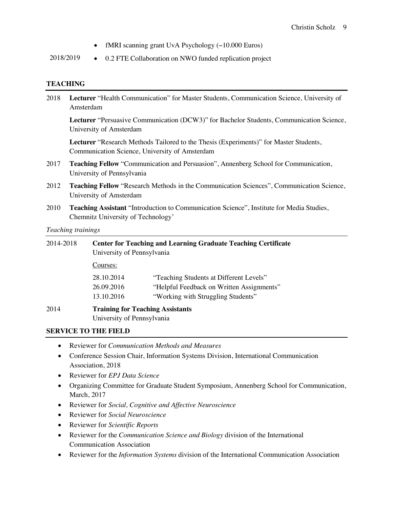- fMRI scanning grant UvA Psychology (~10.000 Euros)
- 2018/2019 0.2 FTE Collaboration on NWO funded replication project

### **TEACHING**

| 2018      | Lecturer "Health Communication" for Master Students, Communication Science, University of                                               |                                                                                                     |                                                                                                                            |  |  |
|-----------|-----------------------------------------------------------------------------------------------------------------------------------------|-----------------------------------------------------------------------------------------------------|----------------------------------------------------------------------------------------------------------------------------|--|--|
|           | Lecturer "Persuasive Communication (DCW3)" for Bachelor Students, Communication Science,<br>University of Amsterdam                     |                                                                                                     |                                                                                                                            |  |  |
|           | Lecturer "Research Methods Tailored to the Thesis (Experiments)" for Master Students,<br>Communication Science, University of Amsterdam |                                                                                                     |                                                                                                                            |  |  |
| 2017      | Teaching Fellow "Communication and Persuasion", Annenberg School for Communication,<br>University of Pennsylvania                       |                                                                                                     |                                                                                                                            |  |  |
| 2012      | Teaching Fellow "Research Methods in the Communication Sciences", Communication Science,<br>University of Amsterdam                     |                                                                                                     |                                                                                                                            |  |  |
| 2010      | Teaching Assistant "Introduction to Communication Science", Institute for Media Studies,<br>Chemnitz University of Technology'          |                                                                                                     |                                                                                                                            |  |  |
|           | Teaching trainings                                                                                                                      |                                                                                                     |                                                                                                                            |  |  |
| 2014-2018 |                                                                                                                                         | <b>Center for Teaching and Learning Graduate Teaching Certificate</b><br>University of Pennsylvania |                                                                                                                            |  |  |
|           |                                                                                                                                         | Courses:                                                                                            |                                                                                                                            |  |  |
|           |                                                                                                                                         | 28.10.2014<br>26.09.2016<br>13.10.2016                                                              | "Teaching Students at Different Levels"<br>"Helpful Feedback on Written Assignments"<br>"Working with Struggling Students" |  |  |
| 2014      |                                                                                                                                         | <b>Training for Teaching Assistants</b><br>University of Pennsylvania                               |                                                                                                                            |  |  |
|           |                                                                                                                                         | <b>SERVICE TO THE FIELD</b>                                                                         |                                                                                                                            |  |  |

- Reviewer for *Communication Methods and Measures*
- Conference Session Chair, Information Systems Division, International Communication Association, 2018
- Reviewer for *EPJ Data Science*
- Organizing Committee for Graduate Student Symposium, Annenberg School for Communication, March, 2017
- Reviewer for *Social, Cognitive and Affective Neuroscience*
- Reviewer for *Social Neuroscience*
- Reviewer for *Scientific Reports*
- Reviewer for the *Communication Science and Biology* division of the International Communication Association
- Reviewer for the *Information Systems* division of the International Communication Association